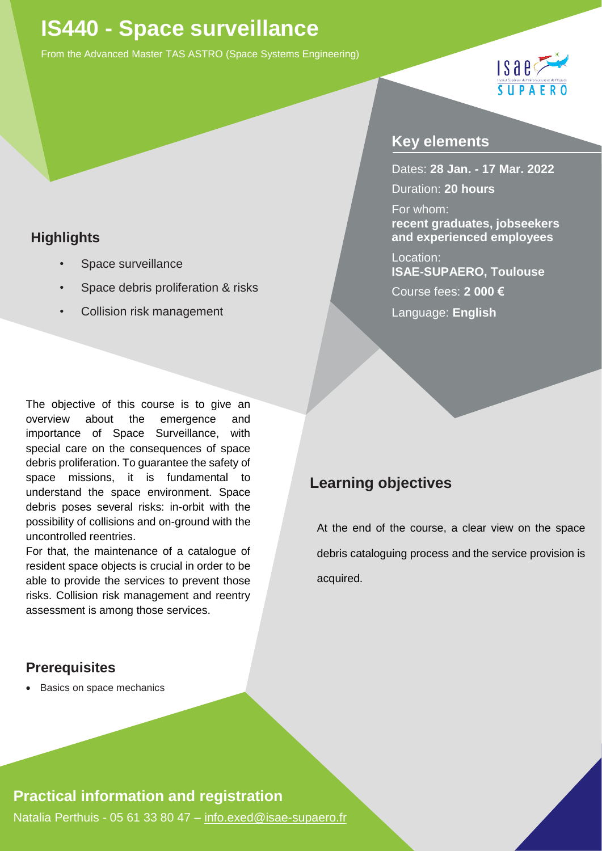# **IS440 - Space surveillance**

From the Advanced Master TAS ASTRO (Space Systems Engineering)

## $1$ sae $\zeta$ **SUPA**

### **Highlights**

- *•* Space surveillance
- *•* Space debris proliferation & risks
- *•* Collision risk management

The objective of this course is to give an overview about the emergence and importance of Space Surveillance, with special care on the consequences of space debris proliferation. To guarantee the safety of space missions, it is fundamental to understand the space environment. Space debris poses several risks: in-orbit with the possibility of collisions and on-ground with the uncontrolled reentries.

For that, the maintenance of a catalogue of resident space objects is crucial in order to be able to provide the services to prevent those risks. Collision risk management and reentry assessment is among those services.

#### **Key elements**

Dates: **28 Jan. - 17 Mar. 2022** Duration: **20 hours**

For whom: **recent graduates, jobseekers and experienced employees**

Location: **ISAE-SUPAERO, Toulouse**  Course fees: **2 000 €**  Language: **English**

### **Learning objectives**

At the end of the course, a clear view on the space debris cataloguing process and the service provision is acquired.

#### **Prerequisites**

• Basics on space mechanics

#### **Practical information and registration**

Natalia Perthuis - 05 61 33 80 47 – [info.exed@isae-supaero.fr](mailto:info.exed@isae-supaero.fr)